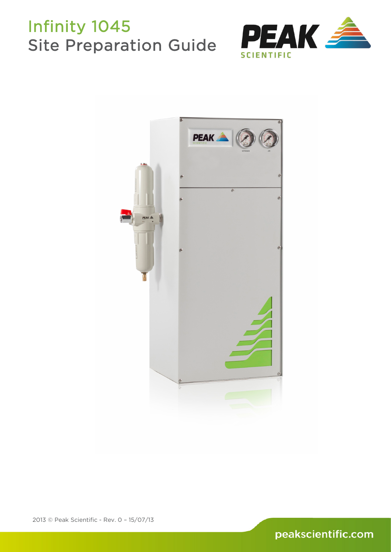

<span id="page-0-0"></span>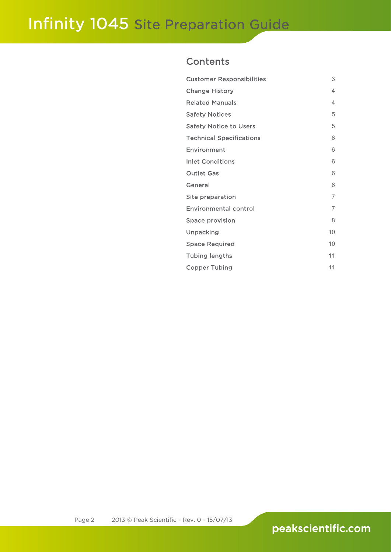## **Contents**

| <b>Customer Responsibilities</b> | 3              |
|----------------------------------|----------------|
| <b>Change History</b>            | 4              |
| <b>Related Manuals</b>           | 4              |
| <b>Safety Notices</b>            | 5              |
| <b>Safety Notice to Users</b>    | 5              |
| <b>Technical Specifications</b>  | 6              |
| Environment                      | 6              |
| <b>Inlet Conditions</b>          | 6              |
| <b>Outlet Gas</b>                | 6              |
| General                          | 6              |
| Site preparation                 | $\overline{7}$ |
| <b>Environmental control</b>     | 7              |
| <b>Space provision</b>           | 8              |
| Unpacking                        | 10             |
| <b>Space Required</b>            | 10             |
| <b>Tubing lengths</b>            | 11             |
| <b>Copper Tubing</b>             | 11             |
|                                  |                |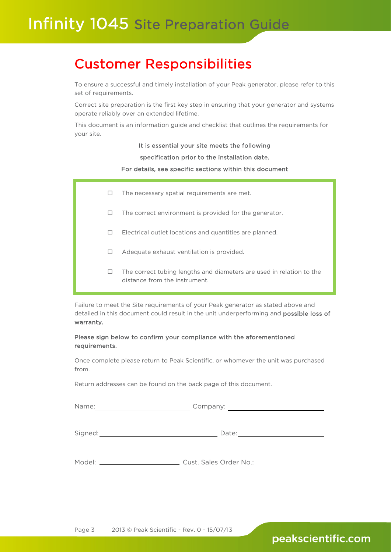# <span id="page-2-0"></span>Customer Responsibilities

To ensure a successful and timely installation of your Peak generator, please refer to this set of requirements.

Correct site preparation is the first key step in ensuring that your generator and systems operate reliably over an extended lifetime.

This document is an information guide and checklist that outlines the requirements for your site.

### It is essential your site meets the following

### specification prior to the installation date.

### For details, see specific sections within this document

 $\Box$  The necessary spatial requirements are met.

Ī

- $\Box$  The correct environment is provided for the generator.
- $\Box$  Electrical outlet locations and quantities are planned.
- $\Box$  Adequate exhaust ventilation is provided.
- $\Box$  The correct tubing lengths and diameters are used in relation to the distance from the instrument.

Failure to meet the Site requirements of your Peak generator as stated above and detailed in this document could result in the unit underperforming and possible loss of warranty.

### Please sign below to confirm your compliance with the aforementioned requirements.

Once complete please return to Peak Scientific, or whomever the unit was purchased from.

Return addresses can be found on the back page of this document.

| Name:   | Company: |  |
|---------|----------|--|
|         |          |  |
| Signed: | Date:    |  |
|         |          |  |

Model: Cust. Sales Order No.: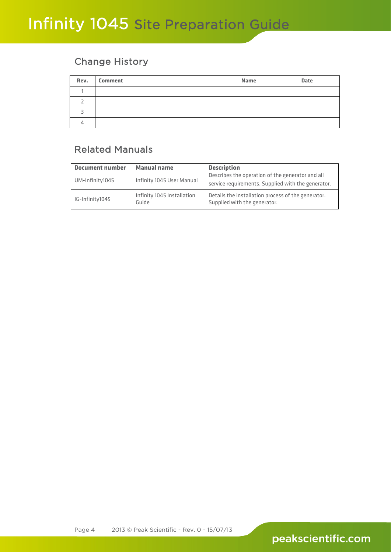## <span id="page-3-0"></span>Change History

| Rev. Comment | <b>Name</b> | <b>Date</b> |
|--------------|-------------|-------------|
|              |             |             |
|              |             |             |
|              |             |             |
|              |             |             |

# <span id="page-3-1"></span>Related Manuals

| <b>Document number</b> | <b>Manual name</b>                  | <b>Description</b>                                                                 |  |
|------------------------|-------------------------------------|------------------------------------------------------------------------------------|--|
|                        |                                     | Describes the operation of the generator and all                                   |  |
| UM-Infinity1045        | Infinity 1045 User Manual           | service requirements. Supplied with the generator.                                 |  |
| IG-Infinity1045        | Infinity 1045 Installation<br>Guide | Details the installation process of the generator.<br>Supplied with the generator. |  |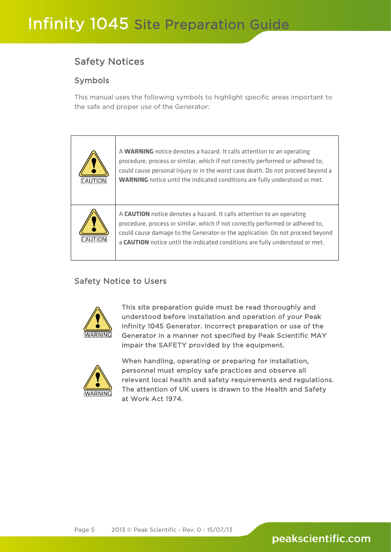## <span id="page-4-0"></span>Safety Notices

## Symbols

This manual uses the following symbols to highlight specific areas important to the safe and proper use of the Generator:

| CAUTION | A WARNING notice denotes a hazard. It calls attention to an operating<br>procedure, process or similar, which if not correctly performed or adhered to,<br>could cause personal injury or in the worst case death. Do not proceed beyond a<br><b>WARNING</b> notice until the indicated conditions are fully understood or met. |
|---------|---------------------------------------------------------------------------------------------------------------------------------------------------------------------------------------------------------------------------------------------------------------------------------------------------------------------------------|
| CAUTION | A CAUTION notice denotes a hazard. It calls attention to an operating<br>procedure, process or similar, which if not correctly performed or adhered to,<br>could cause damage to the Generator or the application. Do not proceed beyond<br>a <b>CAUTION</b> notice until the indicated conditions are fully understood or met. |

## <span id="page-4-1"></span>Safety Notice to Users



This site preparation guide must be read thoroughly and understood before installation and operation of your Peak Infinity 1045 Generator. Incorrect preparation or use of the Generator in a manner not specified by Peak Scientific MAY impair the SAFETY provided by the equipment.



When handling, operating or preparing for installation, personnel must employ safe practices and observe all relevant local health and safety requirements and regulations. The attention of UK users is drawn to the Health and Safety at Work Act 1974.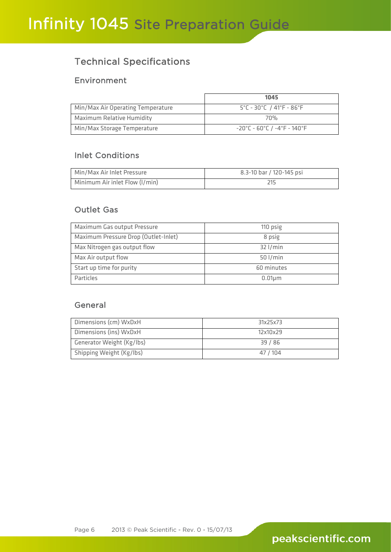## <span id="page-5-0"></span>Technical Specifications

## <span id="page-5-1"></span>Environment

|                                   | 1045                                                                |
|-----------------------------------|---------------------------------------------------------------------|
| Min/Max Air Operating Temperature | $5^{\circ}$ C - 30 $^{\circ}$ C / 41 $^{\circ}$ F - 86 $^{\circ}$ F |
| Maximum Relative Humidity         | 7በ%                                                                 |
| Min/Max Storage Temperature       | -20°C - 60°C / -4°F - 140°F                                         |

## <span id="page-5-2"></span>Inlet Conditions

| Min/Max Air Inlet Pressure     | 8.3-10 bar / 120-145 psi |
|--------------------------------|--------------------------|
| Minimum Air inlet Flow (I/min) |                          |

## <span id="page-5-3"></span>Outlet Gas

| Maximum Gas output Pressure          | 110 psig     |
|--------------------------------------|--------------|
| Maximum Pressure Drop (Outlet-Inlet) | 8 psig       |
| Max Nitrogen gas output flow         | $32$ l/min   |
| Max Air output flow                  | $50$ l/min   |
| Start up time for purity             | 60 minutes   |
| Particles                            | $0.01 \mu m$ |

## <span id="page-5-4"></span>General

| Dimensions (cm) WxDxH     | 31x25x73 |
|---------------------------|----------|
| Dimensions (ins) WxDxH    | 12x10x29 |
| Generator Weight (Kg/lbs) | 39 / 86  |
| Shipping Weight (Kg/lbs)  | 47 / 104 |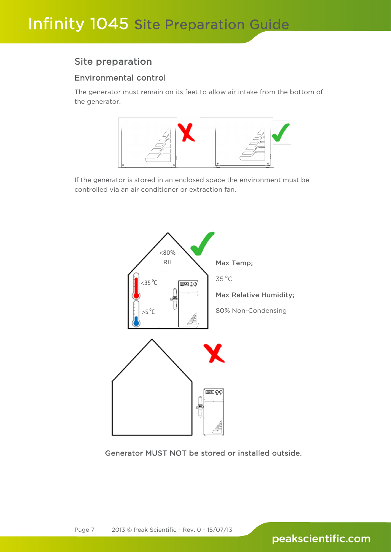## <span id="page-6-0"></span>Site preparation

## <span id="page-6-1"></span>Environmental control

The generator must remain on its feet to allow air intake from the bottom of the generator.



If the generator is stored in an enclosed space the environment must be controlled via an air conditioner or extraction fan.



Generator MUST NOT be stored or installed outside.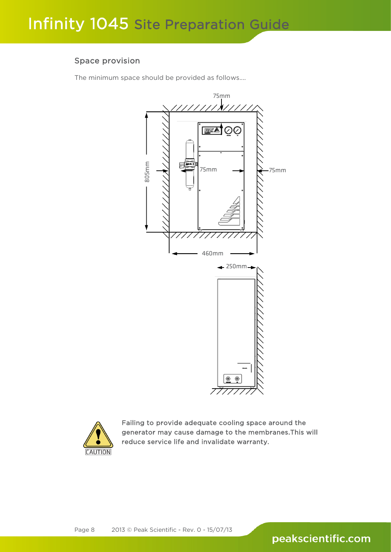### <span id="page-7-0"></span>Space provision

The minimum space should be provided as follows....





Failing to provide adequate cooling space around the generator may cause damage to the membranes.This will reduce service life and invalidate warranty.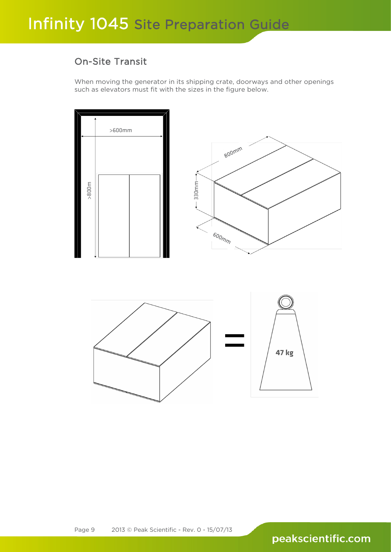## On-Site Transit

When moving the generator in its shipping crate, doorways and other openings such as elevators must fit with the sizes in the figure below.



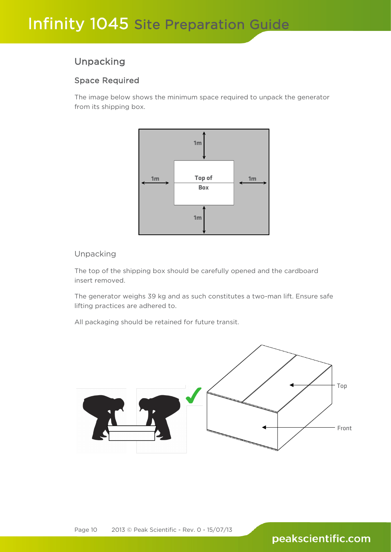## <span id="page-9-0"></span>Unpacking

## <span id="page-9-1"></span>Space Required

The image below shows the minimum space required to unpack the generator from its shipping box.



### Unpacking

The top of the shipping box should be carefully opened and the cardboard insert removed.

The generator weighs 39 kg and as such constitutes a two-man lift. Ensure safe lifting practices are adhered to.

All packaging should be retained for future transit.

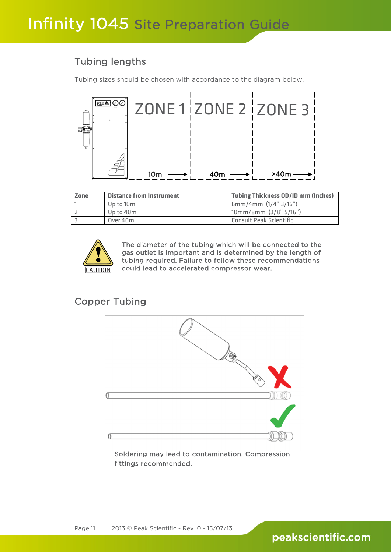## <span id="page-10-0"></span>Tubing lengths

Tubing sizes should be chosen with accordance to the diagram below.



| Zone | <b>Distance from Instrument</b> | <b>Tubing Thickness OD/ID mm (Inches)</b> |
|------|---------------------------------|-------------------------------------------|
|      | Up to 10m                       | 6mm/4mm (1/4" 3/16")                      |
|      | Up to 40m                       | $10mm/8mm$ (3/8" 5/16")                   |
|      | Over 40m                        | Consult Peak Scientific                   |



The diameter of the tubing which will be connected to the gas outlet is important and is determined by the length of tubing required. Failure to follow these recommendations could lead to accelerated compressor wear.

## <span id="page-10-1"></span>Copper Tubing



Soldering may lead to contamination. Compression fittings recommended.